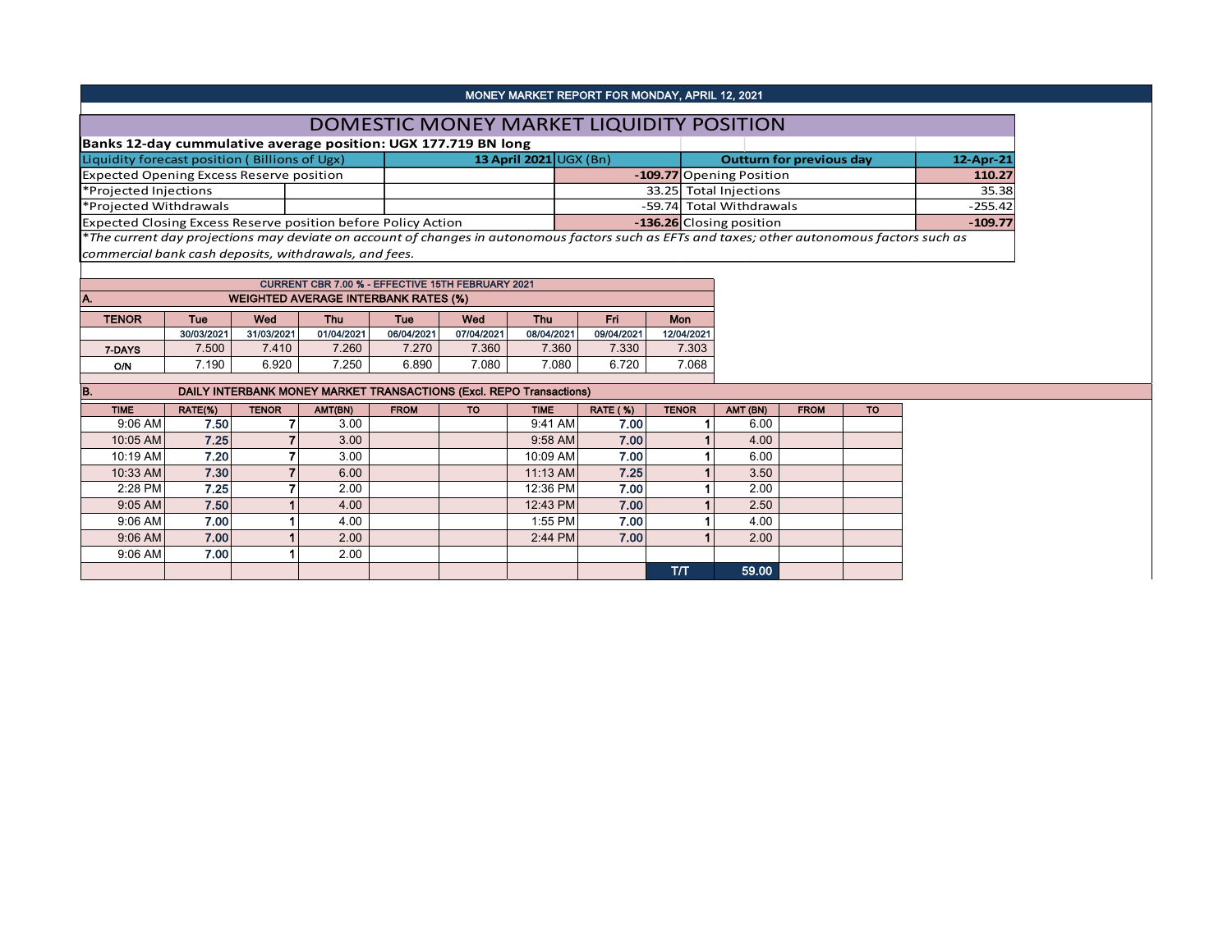|                                                                |  |                                          | MONEY MARKET REPORT FOR MONDAY, APRIL 12, 2021 |                                                                                                                                                           |           |
|----------------------------------------------------------------|--|------------------------------------------|------------------------------------------------|-----------------------------------------------------------------------------------------------------------------------------------------------------------|-----------|
|                                                                |  | DOMESTIC MONEY MARKET LIQUIDITY POSITION |                                                |                                                                                                                                                           |           |
| Banks 12-day cummulative average position: UGX 177.719 BN long |  |                                          |                                                |                                                                                                                                                           |           |
| Liquidity forecast position (Billions of Ugx)                  |  | 13 April 2021 $\cup$ GX (Bn)             |                                                | <b>Outturn for previous day</b>                                                                                                                           | 12-Apr-21 |
| <b>Expected Opening Excess Reserve position</b>                |  |                                          |                                                | -109.77 Opening Position                                                                                                                                  | 110.27    |
| *Projected Injections                                          |  |                                          |                                                | 33.25 Total Injections                                                                                                                                    | 35.38     |
| *Projected Withdrawals                                         |  |                                          |                                                | -59.74 Total Withdrawals                                                                                                                                  | $-255.42$ |
| Expected Closing Excess Reserve position before Policy Action  |  |                                          |                                                | -136.26 Closing position                                                                                                                                  | $-109.77$ |
|                                                                |  |                                          |                                                | <sup>*</sup> The current day projections may deviate on account of changes in autonomous factors such as EFTs and taxes; other autonomous factors such as |           |
|                                                                |  |                                          |                                                |                                                                                                                                                           |           |

*commercial bank cash deposits, withdrawals, and fees.*

| <b>CURRENT CBR 7.00 % - EFFECTIVE 15TH FEBRUARY 2021</b> |                                                             |            |            |            |            |            |            |            |  |  |  |  |  |
|----------------------------------------------------------|-------------------------------------------------------------|------------|------------|------------|------------|------------|------------|------------|--|--|--|--|--|
| <b>WEIGHTED AVERAGE INTERBANK RATES (%)</b><br>IA.       |                                                             |            |            |            |            |            |            |            |  |  |  |  |  |
| <b>TENOR</b>                                             | Wed<br><b>Thu</b><br>Wed<br>Eri<br>Mon<br>Thu<br>Tue<br>Tue |            |            |            |            |            |            |            |  |  |  |  |  |
|                                                          | 30/03/2021                                                  | 31/03/2021 | 01/04/2021 | 06/04/2021 | 07/04/2021 | 08/04/2021 | 09/04/2021 | 12/04/2021 |  |  |  |  |  |
| 7-DAYS                                                   | 7.500                                                       | 7.410      | 7.260      | 7.270      | 7.360      | 7.360      | 7.330      | 7.303      |  |  |  |  |  |
| O/N                                                      | 7.190                                                       | 6.920      | 7.250      | 6.890      | 7.080      | 7.080      | 6.720      | 7.068      |  |  |  |  |  |
|                                                          |                                                             |            |            |            |            |            |            |            |  |  |  |  |  |

| B.          | DAILY INTERBANK MONEY MARKET TRANSACTIONS (Excl. REPO Transactions) |              |                   |             |           |             |                 |              |          |             |           |  |  |  |
|-------------|---------------------------------------------------------------------|--------------|-------------------|-------------|-----------|-------------|-----------------|--------------|----------|-------------|-----------|--|--|--|
| <b>TIME</b> | RATE(%)                                                             | <b>TENOR</b> | AMT(BN)           | <b>FROM</b> | <b>TO</b> | <b>TIME</b> | <b>RATE (%)</b> | <b>TENOR</b> | AMT (BN) | <b>FROM</b> | <b>TO</b> |  |  |  |
| $9:06$ AM   | 7.50                                                                |              | 3.00 <sub>1</sub> |             |           | 9:41 AM     | 7.00            |              | 6.00     |             |           |  |  |  |
| 10:05 AM    | 7.25                                                                |              | 3.00              |             |           | 9:58 AM     | 7.00            |              | 4.00     |             |           |  |  |  |
| 10:19 AM    | 7.20                                                                |              | 3.00              |             |           | 10:09 AM    | 7.00            |              | 6.00     |             |           |  |  |  |
| 10:33 AM    | 7.30                                                                |              | 6.00              |             |           | 11:13 AM    | 7.25            |              | 3.50     |             |           |  |  |  |
| 2:28 PM     | 7.25                                                                |              | 2.00              |             |           | 12:36 PM    | 7.00            |              | 2.00     |             |           |  |  |  |
| $9:05$ AM   | 7.50                                                                |              | 4.00              |             |           | 12:43 PM    | 7.00            |              | 2.50     |             |           |  |  |  |
| $9:06$ AM   | 7.00                                                                |              | 4.00              |             |           | 1:55 PM     | 7.00            |              | 4.00     |             |           |  |  |  |
| $9:06$ AM   | 7.00                                                                |              | 2.00              |             |           | 2:44 PM     | 7.00            |              | 2.00     |             |           |  |  |  |
| $9:06$ AM   | 7.00                                                                |              | 2.00              |             |           |             |                 |              |          |             |           |  |  |  |
|             |                                                                     |              |                   |             |           |             |                 | ТЛ           | 59.00    |             |           |  |  |  |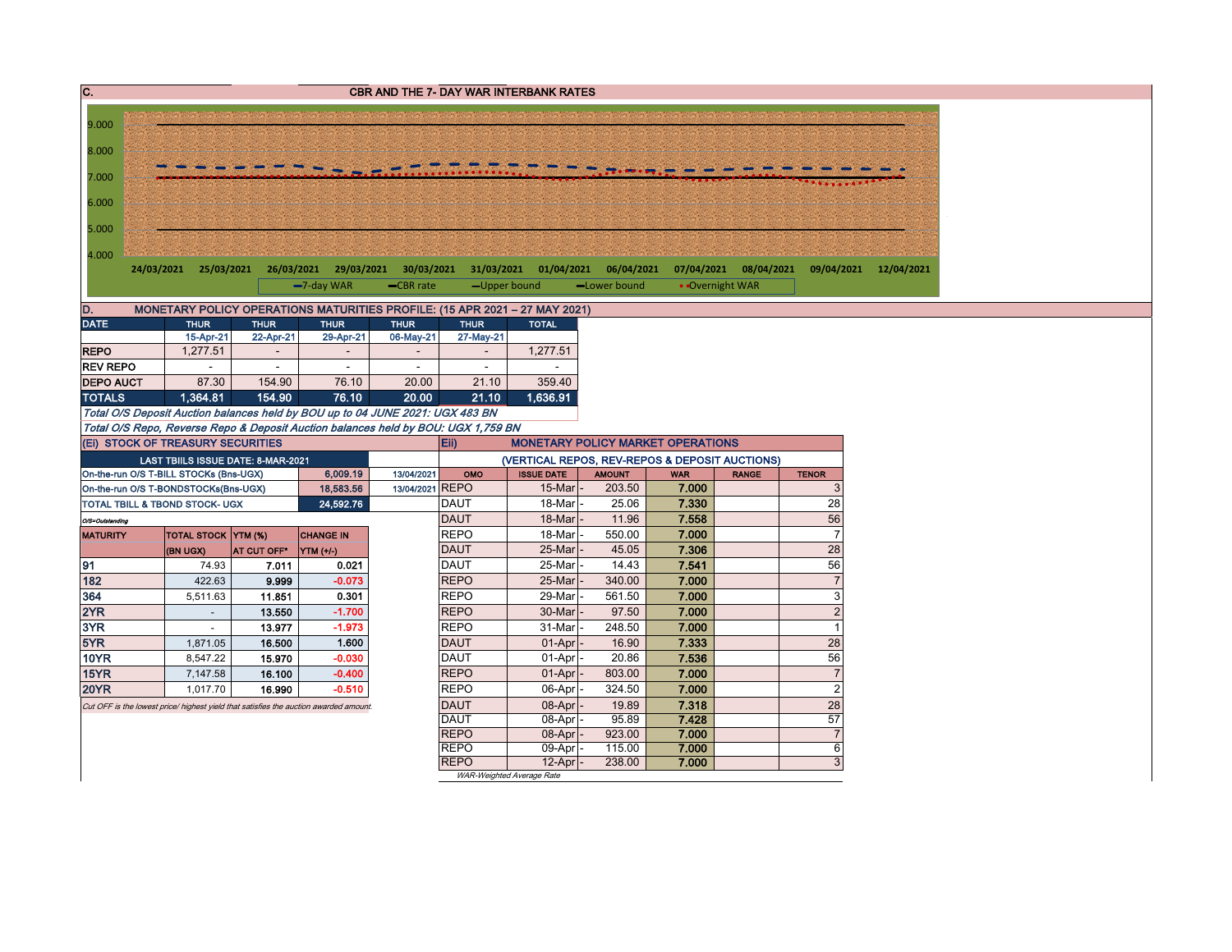